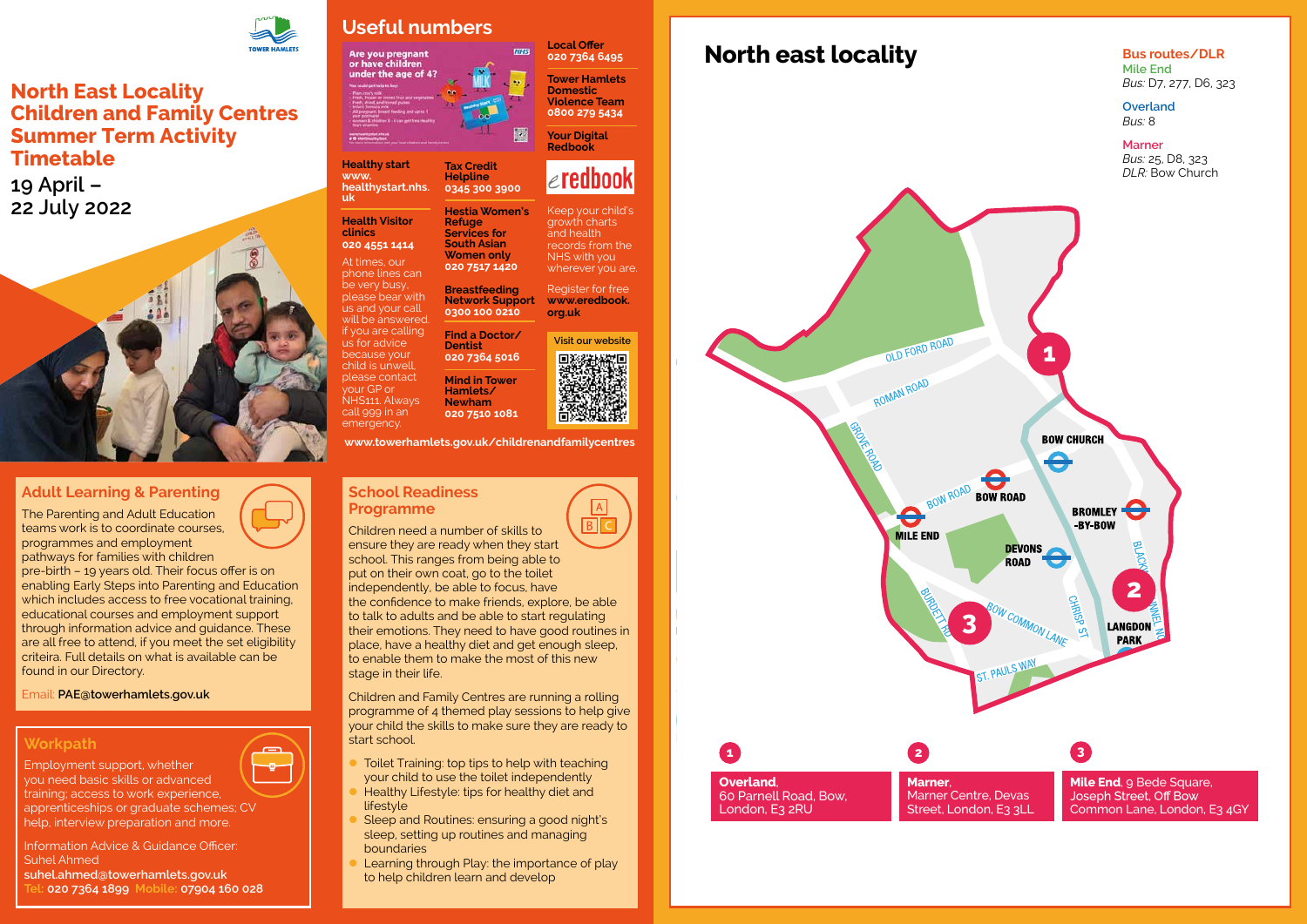**North east locality**



**Bus routes/DLR Mile End** *Bus:* D7, 277, D6, 323

**Overland**

### **School Readiness Programme**

 $\overline{B}$ Children need a number of skills to ensure they are ready when they start school. This ranges from being able to put on their own coat, go to the toilet independently, be able to focus, have the confidence to make friends, explore, be able to talk to adults and be able to start regulating their emotions. They need to have good routines in place, have a healthy diet and get enough sleep, to enable them to make the most of this new stage in their life.

- Toilet Training: top tips to help with teaching your child to use the toilet independently
- Healthy Lifestyle: tips for healthy diet and lifestyle
- Sleep and Routines: ensuring a good night's sleep, setting up routines and managing boundaries
- Learning through Play: the importance of play to help children learn and develop

Children and Family Centres are running a rolling programme of 4 themed play sessions to help give your child the skills to make sure they are ready to start school.

## **Adult Learning & Parenting**

The Parenting and Adult Education teams work is to coordinate courses, programmes and employment pathways for families with children

Keep your child's growth charts and health records from the NHS with you wherever you are.

pre-birth – 19 years old. Their focus offer is on enabling Early Steps into Parenting and Education which includes access to free vocational training. educational courses and employment support through information advice and guidance. These are all free to attend, if you meet the set eligibility criteira. Full details on what is available can be found in our Directory.

Email: **[PAE@towerhamlets.gov.uk](mailto:PAE@towerhamlets.gov.uk)**

## **Workpath**

-o-

Employment support, whether

you need basic skills or advanced training; access to work experience, apprenticeships or graduate schemes; CV help, interview preparation and more.

Information Advice & Guidance Officer: Suhel Ahmed **suhel.ahmed@towerhamlets.gov.uk Tel: 020 7364 1899 Mobile: 07904 160 028**



## **North East Locality Children and Family Centres Summer Term Activity Timetable**

**19 April – 22 July 2022**



## **Useful numbers**

Are you pregnant<br>or have children under the age of 4?

**Healthy start [www.](http://www.healthystart.nhs.uk) [healthystart.nhs.](http://www.healthystart.nhs.uk) [uk](http://www.healthystart.nhs.uk)**

**Health Visitor clinics** 

**020 4551 1414** At times, our

phone lines can be very busy, please bear with us and your call will be answered. if you are calling us for advice because your child is unwell, please contact your GP or NHS111. Always call 999 in an

emergency.

**Tax Credit Helpline 0345 300 3900**

**Hestia Women's** 

**NHS** 

**Refuge Services for South Asian Women only 020 7517 1420**

**Breastfeeding Network Support 0300 100 0210**

**Find a Doctor/ Dentist**

**020 7364 5016**

**Mind in Tower Hamlets/ Newham 020 7510 1081** **Local Offer 020 7364 6495 Tower Hamlets Domestic** 

**Violence Team 0800 279 5434**

**Your Digital Redbook** 

# $\epsilon$ redbook

Register for free **[www.eredbook.](http://www.eredbook.org.uk) [org.uk](http://www.eredbook.org.uk)**

**[www.towerhamlets.gov.uk/childrenandfamilycentres](http://www.towerhamlets.gov.uk/childrenandfamilycentres)**